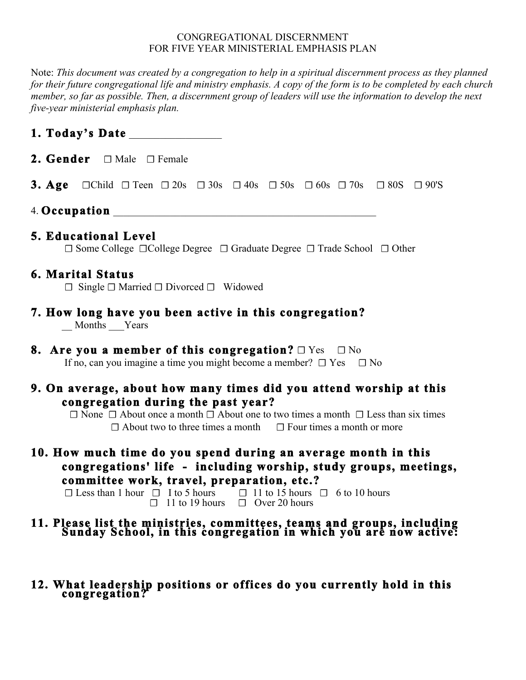#### CONGREGATIONAL DISCERNMENT FOR FIVE YEAR MINISTERIAL EMPHASIS PLAN

Note: *This document was created by a congregation to help in a spiritual discernment process as they planned for their future congregational life and ministry emphasis. A copy of the form is to be completed by each church member, so far as possible. Then, a discernment group of leaders will use the information to develop the next five-year ministerial emphasis plan.*

# **1. Today's Date**

- **2. Gender** □ Male □ Female
- **3. Age ☐**Child **☐** Teen **☐** 20s **☐** 30s **☐** 40s **☐** 50s **☐** 60s **☐** 70s **☐** 80S **☐** 90'S
- 4. **Occupation and the set of the set of the set of the set of the set of the set of the set of the set of the set of the set of the set of the set of the set of the set of the set of the set of the set of the set of the**

# **5. Educational Level**

**☐** Some College **☐**College Degree **☐** Graduate Degree **☐** Trade School **☐** Other

# **6. Marital Status**

**☐** Single **☐** Married **☐** Divorced **☐** Widowed

- **7. How long have you been active in this congregation?**  \_\_ Months \_\_\_Years
- **8.** Are you a member of this congregation? □ Yes □ No If no, can you imagine a time you might become a member? **☐** Yes **☐** No
- **9. On average, about how many times did you attend worship at this congregation during the past year?**

 **☐** None **☐** About once a month **☐** About one to two times a month **☐** Less than six times **☐** About two to three times a month **☐** Four times a month or more

**10. How much time do you spend during an average month in this congregations' life - including worship, study groups, meetings, committee work, travel, preparation, etc.?** 

**□** Less than 1 hour **□** I to 5 hours **□** 11 to 15 hours **□** 6 to 10 hours **□** 11 to 19 hours **□** Over 20 hours

**11. Please list the ministries, committees, teams and groups, including Sunday School, in this congregation in which you are now active:** 

# **12. What leadership positions or offices do you currently hold in this congregation?**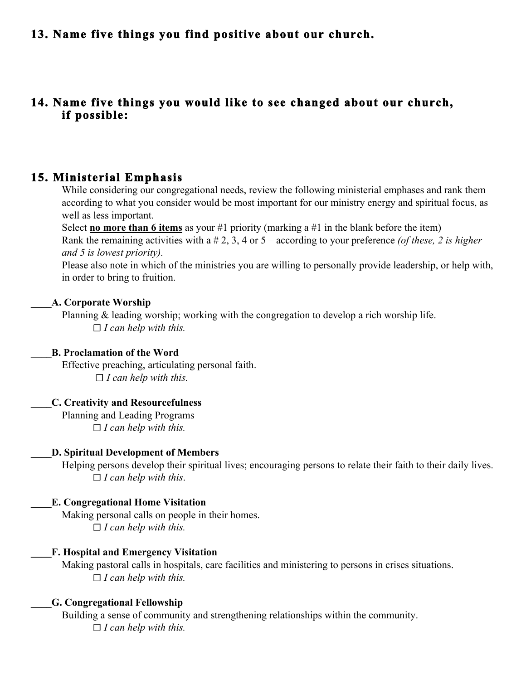# **13. Name five things you find positive about our church.**

# **14. Name five things you would like to see changed about our church, if possible:**

# **15. Ministerial Emphasis**

While considering our congregational needs, review the following ministerial emphases and rank them according to what you consider would be most important for our ministry energy and spiritual focus, as well as less important.

Select **no more than 6 items** as your #1 priority (marking a #1 in the blank before the item) Rank the remaining activities with a # 2, 3, 4 or 5 – according to your preference *(of these, 2 is higher and 5 is lowest priority).*

Please also note in which of the ministries you are willing to personally provide leadership, or help with, in order to bring to fruition.

#### **\_\_\_\_A. Corporate Worship**

Planning & leading worship; working with the congregation to develop a rich worship life. **☐** *I can help with this.*

## **\_\_\_\_B. Proclamation of the Word**

Effective preaching, articulating personal faith. **☐** *I can help with this.*

## **\_\_\_\_C. Creativity and Resourcefulness**

Planning and Leading Programs **☐** *I can help with this.*

## **\_\_\_\_D. Spiritual Development of Members**

Helping persons develop their spiritual lives; encouraging persons to relate their faith to their daily lives. **☐** *I can help with this*.

## **\_\_\_\_E. Congregational Home Visitation**

Making personal calls on people in their homes. **☐** *I can help with this.*

#### **\_\_\_\_F. Hospital and Emergency Visitation**

Making pastoral calls in hospitals, care facilities and ministering to persons in crises situations. **☐** *I can help with this.*

## **\_\_\_\_G. Congregational Fellowship**

Building a sense of community and strengthening relationships within the community. **☐** *I can help with this.*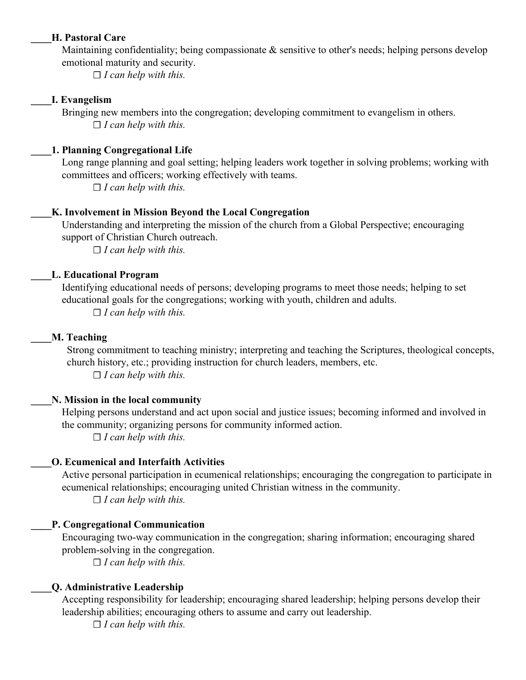#### **\_\_\_\_H. Pastoral Care**

Maintaining confidentiality; being compassionate & sensitive to other's needs; helping persons develop emotional maturity and security.

**☐** *I can help with this.*

#### **\_\_\_\_I. Evangelism**

Bringing new members into the congregation; developing commitment to evangelism in others. **☐** *I can help with this.*

#### **\_\_\_\_1. Planning Congregational Life**

Long range planning and goal setting; helping leaders work together in solving problems; working with committees and officers; working effectively with teams.

**☐** *I can help with this.*

#### **\_\_\_\_K. Involvement in Mission Beyond the Local Congregation**

Understanding and interpreting the mission of the church from a Global Perspective; encouraging support of Christian Church outreach.

**☐** *I can help with this.*

#### **\_\_\_\_L. Educational Program**

Identifying educational needs of persons; developing programs to meet those needs; helping to set educational goals for the congregations; working with youth, children and adults.

**☐** *I can help with this.*

#### **\_\_\_\_M. Teaching**

Strong commitment to teaching ministry; interpreting and teaching the Scriptures, theological concepts, church history, etc.; providing instruction for church leaders, members, etc. **☐** *I can help with this.*

#### **\_\_\_\_N. Mission in the local community**

Helping persons understand and act upon social and justice issues; becoming informed and involved in the community; organizing persons for community informed action.

**☐** *I can help with this.*

#### **\_\_\_\_O. Ecumenical and Interfaith Activities**

Active personal participation in ecumenical relationships; encouraging the congregation to participate in ecumenical relationships; encouraging united Christian witness in the community. **☐** *I can help with this.*

#### **\_\_\_\_P. Congregational Communication**

Encouraging two-way communication in the congregation; sharing information; encouraging shared problem-solving in the congregation.

**☐** *I can help with this.*

#### **\_\_\_\_Q. Administrative Leadership**

Accepting responsibility for leadership; encouraging shared leadership; helping persons develop their leadership abilities; encouraging others to assume and carry out leadership.

**☐** *I can help with this.*